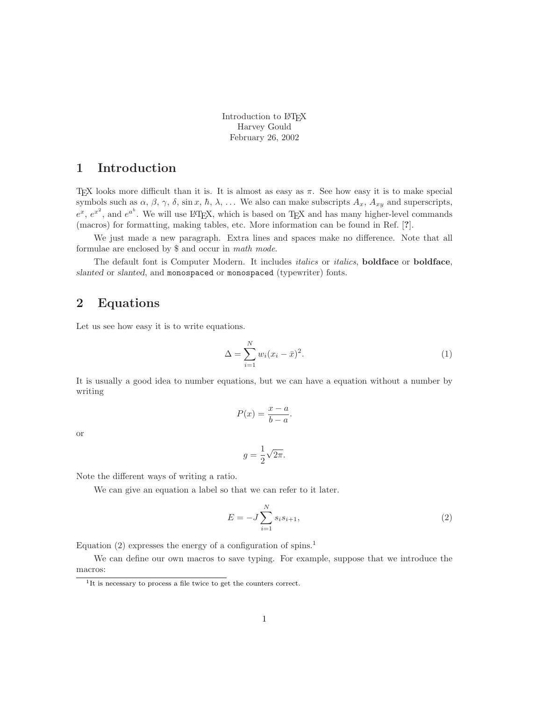Introduction to LATEX Harvey Gould February 26, 2002

#### **1 Introduction**

T<sub>EX</sub> looks more difficult than it is. It is almost as easy as  $\pi$ . See how easy it is to make special symbols such as  $\alpha$ ,  $\beta$ ,  $\gamma$ ,  $\delta$ , sin *x*,  $\hbar$ ,  $\lambda$ ,  $\ldots$  We also can make subscripts  $A_x$ ,  $A_{xy}$  and superscripts,  $e^x$ ,  $e^{x^2}$ , and  $e^{a^b}$ . We will use LATEX, which is based on TEX and has many higher-level commands (macros) for formatting, making tables, etc. More information can be found in Ref. [**?**].

We just made a new paragraph. Extra lines and spaces make no difference. Note that all formulae are enclosed by \$ and occur in math mode.

The default font is Computer Modern. It includes italics or italics, **boldface** or **boldface**, *slanted* or *slanted*, and monospaced or monospaced (typewriter) fonts.

#### **2 Equations**

Let us see how easy it is to write equations.

$$
\Delta = \sum_{i=1}^{N} w_i (x_i - \bar{x})^2.
$$
\n
$$
(1)
$$

It is usually a good idea to number equations, but we can have a equation without a number by writing

$$
P(x) = \frac{x - a}{b - a}.
$$

or

$$
g = \frac{1}{2}\sqrt{2\pi}.
$$

Note the different ways of writing a ratio.

We can give an equation a label so that we can refer to it later.

$$
E = -J \sum_{i=1}^{N} s_i s_{i+1},
$$
\n(2)

Equation  $(2)$  expresses the energy of a configuration of spins.<sup>1</sup>

We can define our own macros to save typing. For example, suppose that we introduce the macros:

<sup>&</sup>lt;sup>1</sup>It is necessary to process a file twice to get the counters correct.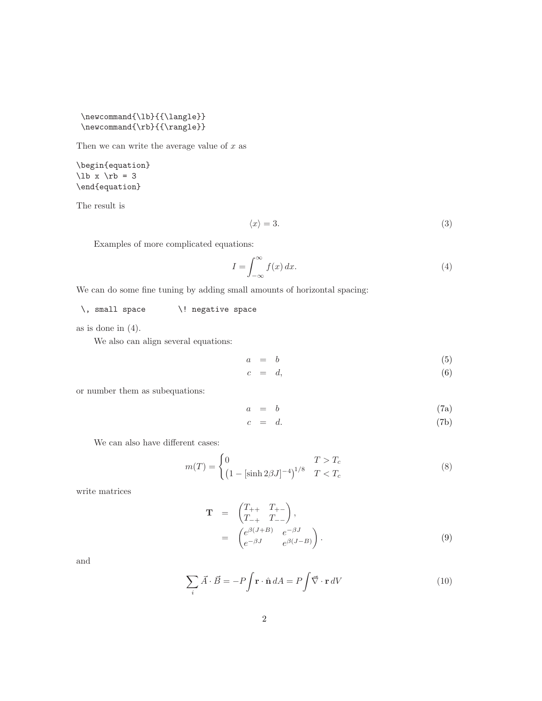\newcommand{\lb}{{\langle}}  $\verb|\newcommand{{\rb}{f\rangle}|$ 

Then we can write the average value of *x* as

\begin{equation}  $\lb x \rb = 3$ \end{equation}

The result is

$$
\langle x \rangle = 3. \tag{3}
$$

Examples of more complicated equations:

$$
I = \int_{-\infty}^{\infty} f(x) \, dx. \tag{4}
$$

We can do some fine tuning by adding small amounts of horizontal spacing:

\, small space \! negative space

as is done in (4).

We also can align several equations:

$$
a = b \tag{5}
$$

$$
c = d,\t\t(6)
$$

or number them as subequations:

$$
a = b \tag{7a}
$$

$$
c = d. \t\t(7b)
$$

We can also have different cases:

$$
m(T) = \begin{cases} 0 & T > T_c \\ \left(1 - \left[\sinh 2\beta J\right]^{-4}\right)^{1/8} & T < T_c \end{cases}
$$
 (8)

write matrices

$$
\mathbf{T} = \begin{pmatrix} T_{++} & T_{+-} \\ T_{-+} & T_{--} \end{pmatrix},
$$
\n
$$
= \begin{pmatrix} e^{\beta(J+B)} & e^{-\beta J} \\ e^{-\beta J} & e^{\beta(J-B)} \end{pmatrix}.
$$
\n
$$
(9)
$$

and

$$
\sum_{i} \vec{A} \cdot \vec{B} = -P \int \mathbf{r} \cdot \hat{\mathbf{n}} \, dA = P \int \vec{\nabla} \cdot \mathbf{r} \, dV \tag{10}
$$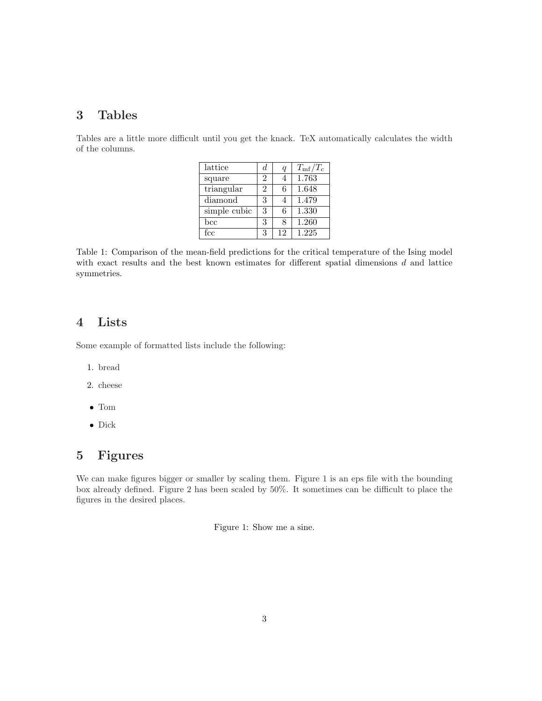#### **3 Tables**

Tables are a little more difficult until you get the knack. TeX automatically calculates the width of the columns.

| lattice           | d.             | q  | $T_{\rm mf}/T_c$ |
|-------------------|----------------|----|------------------|
| square            | $\mathfrak{D}$ | 4  | 1.763            |
| triangular        | $\mathfrak{D}$ | 6  | 1.648            |
| diamond           | 3              | 4  | 1.479            |
| simple cubic      | 3              | 6  | 1.330            |
| $_{\mathrm{bcc}}$ | 3              | 8  | 1.260            |
| fcc               | 3              | 12 | 1.225            |

Table 1: Comparison of the mean-field predictions for the critical temperature of the Ising model with exact results and the best known estimates for different spatial dimensions *d* and lattice symmetries.

### **4 Lists**

Some example of formatted lists include the following:

- 1. bread
- 2. cheese
- Tom
- Dick

## **5 Figures**

We can make figures bigger or smaller by scaling them. Figure 1 is an eps file with the bounding box already defined. Figure 2 has been scaled by 50%. It sometimes can be difficult to place the figures in the desired places.

Figure 1: Show me a sine.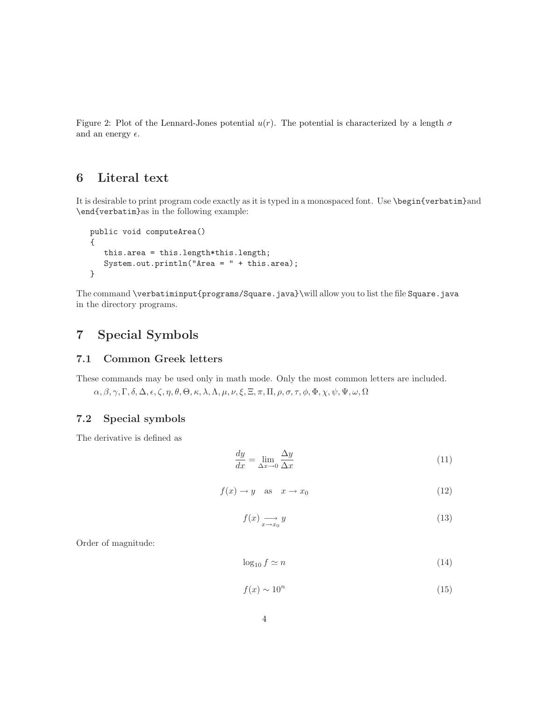Figure 2: Plot of the Lennard-Jones potential  $u(r)$ . The potential is characterized by a length  $\sigma$ and an energy  $\epsilon$ .

## **6 Literal text**

It is desirable to print program code exactly as it is typed in a monospaced font. Use \begin{verbatim}and \end{verbatim}as in the following example:

```
public void computeArea()
{
   this.area = this.length*this.length;
   System.out.println("Area = " + this.area);
}
```
The command \verbatiminput{programs/Square.java}\will allow you to list the file Square.java in the directory programs.

## **7 Special Symbols**

#### **7.1 Common Greek letters**

These commands may be used only in math mode. Only the most common letters are included.

*α,β,γ,* Γ*, δ,* ∆*, , ζ, η, θ,* Θ*, κ, λ,*Λ*, µ, ν, ξ,*Ξ*,π,* Π*, ρ, σ, τ, φ,* Φ*, χ, ψ,* Ψ*,ω,* Ω

#### **7.2 Special symbols**

The derivative is defined as

$$
\frac{dy}{dx} = \lim_{\Delta x \to 0} \frac{\Delta y}{\Delta x} \tag{11}
$$

$$
f(x) \to y \quad \text{as} \quad x \to x_0 \tag{12}
$$

$$
f(x) \underset{x \to x_0}{\longrightarrow} y \tag{13}
$$

Order of magnitude:

$$
\log_{10} f \simeq n \tag{14}
$$

$$
f(x) \sim 10^n \tag{15}
$$